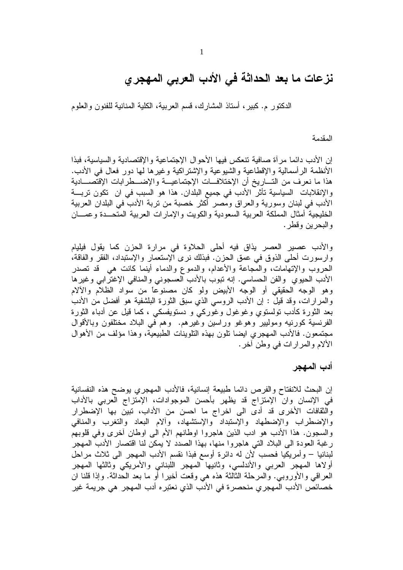# نزعات ما بعد الحداثة في الأدب العربي المهجري

الدكتور م. كبير ، أستاذ المشارك، قسم العربية، الكلية المنانية للفنون والعلوم

المقدمة

إن الأدب دائما مر أة صافية تنعكس فيها الأحوال الإجتماعية والإقتصادية والسياسية، فبذا الأنظمة الرأسمالية والإقطاعية والشيوعية والإشتراكية وغيرها لمها دور فعال في الأدب. هذا ما نعرف من التـــاريخ أن الإختلافـــات الإجتماعيـــة والإضــــطرابات الإقتصــــادية والإنقلابات السياسية تأثَّرُ الأدب في جميع البلدان. هذا هو السبب في ان تكون تربسة الأدب في لبنان وسورية والعراق ومصر أكثر خصبة من تربة الأدب في البلدان العربية الخليجية أمثال المملكة العربية السعودية والكويت والإمارات العربية المتحــدة وعمـــان و البحر بن وقطر .

والأدب عصير العصر يذاق فيه أحلى الحلاوة في مرارة الحزن كما يقول فيليام وارسورت أحلي الذوق في عمق الحزن. فبذلك نرى آلإستعمار والإستبداد، الفقر والفاقة، الحروب والإنهامات، والْمُجاعة والأعدام، والدموع والدماء أينما كانت هي قد تصدر الأدب الحيوي والفن الحساسي. إنه نبوب بالأدب العسجوني والمنافي الإغترابي وغيرها وهو الوجه الحقيقي أو الوجه الأبيض ولو كان مصنوعًا من سواد الظلام والألام والمرارات، وقد قيل : إن الأدب الروسي الذي سبق الثورة البلشفية هو أفضل من الأدب بعد الثورة كأدب تولستوي وغوغول وغوركمي و دستويفسكي ، كما قيل عن أدباء الثورة الفرنسية كورنيه وموليير وهوغو وراسين وغيرهم. وهم في البلاد مختلفون وبالأقوال مجتمعون. فالأدب المهجري ايضا نلون بهذه النلوينات الطبيعية، وهذا مؤلف من الأهوال الألام والمر ار ات في وطن آخر .

أدب المهجر

إن البحث للانفتاح والفرص دائما طبيعة إنسانية، فالأدب المهجري يوضح هذه النفسانية في الإنسان وان الإمتزاج قد يظهر بأحسن الموجوادات، الإمتزاج العربي بالأداب والثقافات الأخرى قد أدى الى اخراج ما احسن من الأداب، تبين بها الإضطرار والإضطراب والإضطهاد والإستبداد والإستشهاد، وألام البعاد والنغرب والمنافى والسجون. هذا الأدب هو ادب الذين هاجروا اوطانهم الأم البي اوطان أخرى وفي قلوبهم رغبة العودة الى البلاد التي هاجروا منها، بهذا الصدد لا يمكن لنا اقتصار الأدب المهجر لبنانيا – وأمريكيا فحسب لأن له دائرة أوسع فبذا نقسم الأدب المهجر الى ثلاث مراحل أولاها المهجر العربي والأندلسي، وثانيها المهجر اللبناني والأمريكي وثالثها المهجر العراقبي والأوروبـي. والمرحلة الثالثة هذه هي وقعت أخيرًا أو ما بعد الحداثة. وإذا قلنا ان خصائص الأدب المهجر ي منحصر ة في الأدب الذي نعتبر ه أدب المهجر هي جريمة غير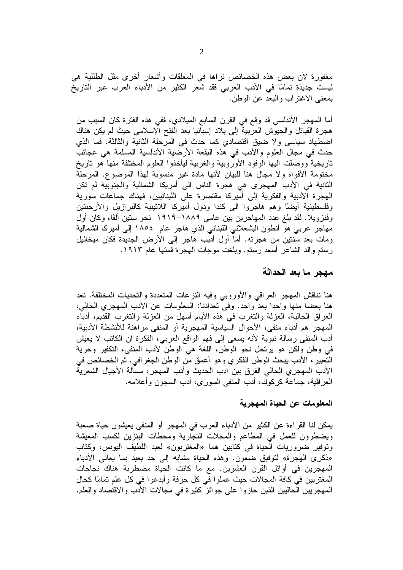مغفورة لأن بعض هذه الخصائص نراها في المعلقات وأشعار أخرى مثل الطللية هي ليست جديدًة تمامًا في الأدب العربي فقد شعر الكثير من الأدباء العرب عبر التاريخ بمعنى الاغتراب والبعد عن الوطن.

أما المهجر الأندلسي قد وقع في القرن السابع الميلادي، ففي هذه الفترة كان السبب من هجرة القبائل والجيوش العربية إلى بلاد إسبانيا بعد الفتح الإسلامي حيث لم يكن هناك اضطهاد سياسي ولا ضيق اقتصادي كما حدث في المرحلة الثانية والثالثة. فما الذي حدث في مجال العلوم والأدب في هذه البقعة الأرضية الأندلسية المسلمة هي عجائب ناريخية ووصلت اليها الوفود الأوروبية والغربية ليأخذوا العلوم المختلفة منها هو ناريخ مختومة الأفواه ولا مجال هنا للبيان لأنها مادة غير منسوبة لهذا الموضوع. المرحلة الثانية في الأدب المهجري هي هجرة الناس الى أمريكا الشمالية والجنوبية لم تكن الهجرة الأدبية والفكرية إلى أميركا مقتصرة على اللبنانيين، فهناك جماعات سورية وفلسطينية أيضًا وهم هاجروا الى كندا ودول أميركا اللانينية كالبرازيل والأرجنتين وفنزويلا. لقد بلغ عدد المهاجرين بين عامي ١٨٨٩–١٩١٩ نحو ستين ألقًا، وكان أول مهاجر عربي هو أنطون البشعلاني اللبناني الذي هاجر عام ١٨٥٤ إلى أميركا الشمالية ومات بعد سنتين من هجرته. أما أول أديب هاجر إلى الأرض الجديدة فكان ميخائيل رستم والد الشاعر أسعد رستم. وبلغت موجات الهجرة قمتها عام ١٩١٣.

#### مهجر ما بعد الحداثة

هنا نناقش المهجر العراقبي والأوروبي وفيه النزعات المتعددة والتحديات المختلفة. نعد هنا بعضاً منها واحدًا بعد واحدٍ. وفي تعدادنا: المعلومات عن الأدب المهجري الحالي، العراق الحالية، العزلة والتغرب في هذه الأيام أسهل من العزلة والتغرب القديم، أدباء المهجر هم أدباء منفي، الأحوال السياسية المهجرية أو المنفي مراهنة للأنشطة الأدبية، أدب المنفي رسالة نبوية لأنه يسعى إلى فهم الواقع العربي، الفكرة ان الكاتب لا يعيش في وطن ولكن هو يرتحل نحو الوطن، اللغة هي الوطن لأدب المنفي، التكفير وحرية النَّعبيرِ ، الأدب يبحث الوطن الفكري وهو أعمق من الوطن الجغرافي. ثم الخصائص في الأدب المهجري الحالي الفرق بين ادب الحديث وأدب المهجر ، مسألة الأجيال الشعرية العراقية، جماعة كركوك، أدب المنفي السوري، أدب السجون وأعلامه.

#### المعلومات عن الحياة المهجرية

يمكن لنا القراءة عن الكثير من الأدباء العرب في المهجر أو المنفي يعيشون حياة صعبة ويضطرون للعمل في المطاعم والمحلات النجارية ومحطات البنزين لكسب المعيشة وتوفير ضروريات الحياة في كتابين هما «المغتربون» لعبد اللطيف اليونس، وكتاب «ذكرى المهجرة» لتوفيق ضعون. وهذه الحياة مشابه إلى حد بعيد بما يعاني الأدباء المهجرين في أوائل القرن العشرين. مع ما كانت الحياة مضطربة هناك نجاحات المغتربين في كافة المجالات حيث عملوا في كل حرفة وأبدعوا في كل علم تمامًا كحال المهجريين الحاليين الذين حازوا على جوائز كثيرة في مجالات الأدب والاقتصاد والعلم.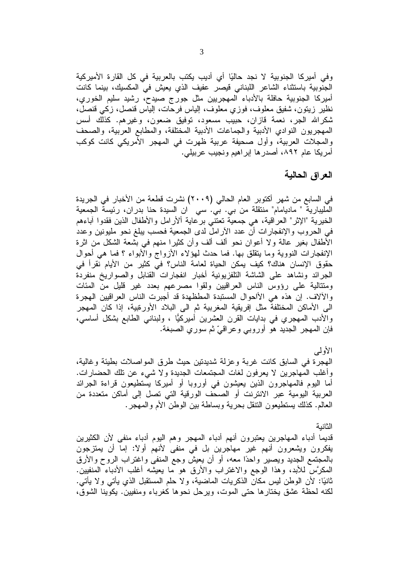وفي أميركا الجنوبية لا نجد حاليًا أي أديب يكتب بالعربية في كل القارة الأميركية الْجنوبية باستثناء الشاعر اللبناني قيصر عفيف الذي يعيش في المكسيك، بينما كانت أميركا الجنوبية حافلة بالأدباء المهجريين مثل جورج صبدح، رشيد سليم الخوري، نظير زيتون، شفيق معلوف، فوزي معلوف، إلياس فرحات، إلياس قنصل، زكي قنصل، شكرالله الجر، نعمة قازان، حبيب مسعود، توفيق ضعون، وغيرهم. كذلك أسس المهجريون النوادي الأدبية والجماعات الأدبية المختلفة، والمطابع العربية، والصحف والمجلات العربية، وأول صحيفة عربية ظهرت في المهجر الأمريكي كانت كوكب أمريكا عام ٨٩٢، أصدرها إبراهيم ونجيب عربيلي.

## العراق الحالية

في السابع من شهر أكتوبر العام الحالي (٢٠٠٩) نشرت قطعة من الأخبار في الجريدة المليبارية " ماديامام" منتقلة من بي. بي. سي ان السيدة حنا بدران، رئيسة الجمعية الخيرية "الإثر" العراقية، هي جمعية تعتني برعاية ألأرامل والأطفال الذين فقدوا أباءهم في الحروب والإنفجارات أن عدد الأرامل لدى الجمعية فحسب يبلغ نحو مليونين وعدد الأطفال بغير عالةً ولا أعوان نحو ألف ألف وأن كثيرًا منهم في بشعة الشكل من اثرة الإنفجارات النووية وما يتقلق بها. فما حدث لمهؤلاء الأزواج والأبواء ؟ فما هي أحوال حقوق الإنسان هناك؟ كيف يمكن الحياة لعامة الناس؟ في كثير من الأيام نقرأ في الجرائد ونشاهد علىي الشاشة التلفزيونية أخبار انفجارات القنابل والصواريخ منفردة ومنتالية على رؤوس الناس العراقيين ولقوا مصرعهم بعدد غير قليل من المئات والألاف. إن هذه هي الأاحوال المستبدة المطظهدة قد أجبرت الناس العراقيين الهجرة الى الأماكن المختلفة مثل إفريقية المغربية ثم الى البلاد الأورةبية، إذا كان المهجر والأدب الممهجري في بدايات القرن العشرين أميركيًّا ، ولبناني الطابع بشكل أساسي، فإن المهجر الجديد هو أوروبي وعراقيّ ثم سوري الصبغة.

الأولمي

المهجرة في السابق كانت غربة وعزلة شديدتين حيث طرق المواصلات بطيئة وغالية، وأغلب المهاجرين لا يعرفون لغات المجتمعات الجديدة ولا شيىء عن تلك الحضارات. أما اليوم فالمهاجرون الذين يعيشون في أوروبا أو أميركا يستطيعون قراءة الجرائد العربية اليومية عبر الانترنت أو الصحف الورقية التي تصل إلى أماكن متعددة من العالم. كذلك يستطيعون النتقل بحرية وبساطة بين الوطن الأم والمهجر .

#### الثانبة

قديما أدباء المهاجرين يعتبرون أنهم أدباء المهجر وهم اليوم أدباء منفى لأن الكثيرين يفكرون ويشعرون أنهم غير مهاجرين بل في منفي لأنهم أولًا: إما أن يمتزجون بالمُجتمع الجديد ويصير واحدًا معه، أو أن يعيش وجع المُنفي واغتراب الروح والأرق المكرَّس للأبد، وهذا الوجع والاغتراب والأرق هو ما يعيشه أغلب الأدباء المنفيين. ثانيًا: لأن الوطن ليس مكان الذكريات الماضية، ولا حلم المستقبل الذي يأتي ولا يأتي. لكنه لحظة عشق يختارها حتى الموت، ويرحل نحوها كغرباء ومنفيين. يكوينا الشوق،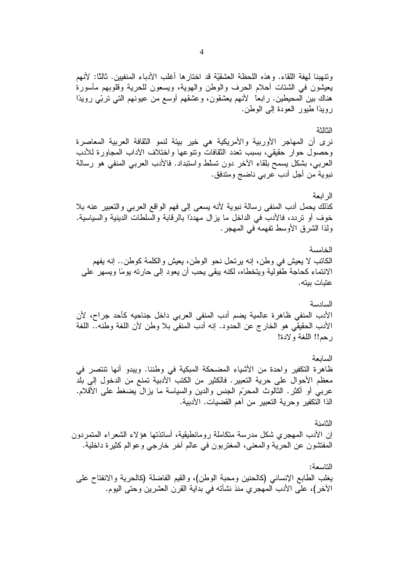وتنهبنا لهفة اللقاء. وهذه اللحظة العشقيّة قد اختارها أغلب الأدباء المنفيين. ثالثًا: لأنهم يعيشون في الشتات أحلام الحرف والوطن والهوية، ويسعون للحرية وقلوبهم مأسورة هناك بين المحيطين. رابعًا لأنهم يعشقون، وعشقهم أوسع من عيونهم التي تربّي رويدًا رويدًا طيور العودة إلى الوطن.

#### الثالثة

نرى أن المهاجر الأوربية والأمريكية هي خير بيئة لنمو الثقافة العربية المعاصرة وحصول حوار حقيقي، بسبب تعدد الثقافات ونتوعها واختلاف الآداب المجاور ة للأدب العربي، بشكل يسمح بلقاء الأخر دون تسلط واستبداد. فالأدب العربي المنفي هو رسالة نبوية من أجل أدب عربي ناضج ومتدفق.

الر ابعة كذلك يحمل أدب المنفى رسالة نبوية لأنه يسعى إلى فهم الواقع العربي والتعبير عنه بلا خوف أو تردد، فالأدب في الداخل ما يزال مهددًا بالرقابة والسلطات الدينية والسياسية. ولذا الشرق الأوسط تفهمه في المهجر .

الخامسة الكاتب لا يعيش في وطن، إنه يرتحل نحو الوطن، يعيش والكلمة كوطن.. إنه يفهم الانتماء كحاجة طفولية ويتخطاه، لكنه يبقى يحب أن يعود إلى حارته يومًا ويسهر ٍ على عتبات بيته.

السادسة الأدب المنفي ظاهرة عالمية يضم أدب المنفي العربي داخل جناحيه كأحد جراح، لأن الأدب الحقيقي هو الخارج عن الحدود. إنه أدب المنفي بلا وطن لأن اللغة وطنه.. اللغة رحم!! اللغة ولادة!

السابعة ظاهرة التكفير واحدة من الأشياء المضحكة المبكية في وطننا. ويبدو أنها تنتصر في معظم الأحوال على حرية النعبير. فالكثير من الكتب الأدبية تمنع من الدخول إلى بلد عربـي أو أكثر . الثالوث المحرّم الجنس والدين والسياسة ما يزالٌ يضغط علـي الأقلام. الذا التكفير وحرية التعبير من أهم القضيات. الأدبية.

الثامنة إن الأدب المهجري شكل مدرسة متكاملة رومانطيقية، أساتذتها هؤلاء الشعراء المتمردون المفتشون عن الحرية والمعنى، المغتربون في عالم أخر خارجي وعوالم كثيرة داخلية.

التاسعة: يغلب الطابع الإنساني (كالحنين ومحبة الوطن)، والقيم الفاضلة (كالحرية والانفتاح على الأخر)، على الأدب المهجري منذ نشأته في بداية القرن العشرين وحتى اليوم.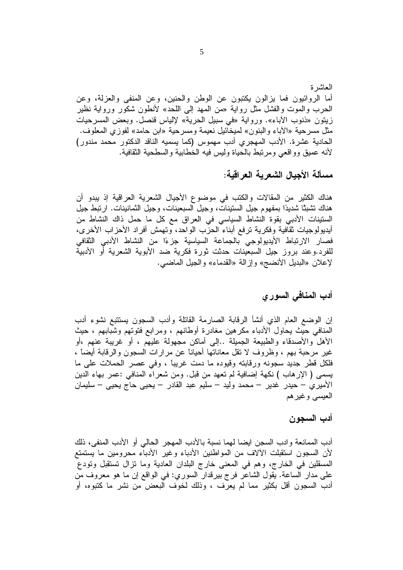مسألة الأجبال الشعر بـة العر اقبـة:

هناك الكثير من المقالات والكتب في موضوع الأجيال الشعرية العراقية إذ يبدو أن هناك نشبنًا شديدًا بمفهوم جيل السنينات، وجيل السبعينات، وجيل الثمانينات. ارتبط جيل الستينات الأدبي بقوة النشاط السياسي في العراق مع كل ما حمل ذاك النشاط من أيديولوجيات ثقافية وفكرية نرفع أبناء الحزب الواحد، وتهمش أفراد الأحزاب الأخرى، فصار الارتباط الأيديولوجي بالجماعة السياسية جزءًا من النشاط الأدبي الثقافي للفرد.وعند بروز جيل السبعينات حدثت ثورة فكرية ضد الأبوية الشعرية أو الأدبية لإعلان «البديل الأنضج» وإزالة «القدماء» والجيل الماضي.

### أدب المنافى السورى

إن الوضع العام الذي أنشأ الرقابة الصارمة القاتلة وأدب السجون يستتبع نشوء أدب المنافي حيث يحاول الأدباء مكرهين مغادرة أوطانهم ، ومرابع فتوتهم وشبابهم ، حيث الأهل والأصدقاء والطبيعة الجميلة ..إلى أماكن مجهولة عليهم ، أو غريبة عنهم ،أو غير مرحبة بهم ، وظروف لا نقل معاناتها أحياناً عن مرارات السجون والرقابة أيضاً ، فلكل قطر جديد سجونه ورقابته وقيوده ما دمت غريباً ، وفي عصر الحملات على ما يسمى ( الإرهاب ) نكهة إضافية لم تعهد من قبل. ومن شعراء المنافي :عمر بهاء الدين الأميري – حيدر غدير – محمد وليد – سليم عبد القادر – يحيى حاج يحيى – سليمان العيسى وغيرهم

#### أدب السجون

أدب الممانعة وادب السجن ايضا لهما نسبة بالأدب المهجر الحالي أو الأدب المنفي، ذلك لأن السجون استقبلت الألاف من المواطنين الأدباء وغير الأدباء محرومين ما يستمتع المسقلين في الخارج، وهم في المعنى خارج البلدان العادية وما نزال تستقبل ونودع على مدار الساعة. يقول الشاعر فرج بيرقدار السوري: في الواقع إن ما هو معروف من أدب السجون أقل بكثير مما لم يعرف ، وذلك لخوف البعض من نشر ما كتبوه، أو